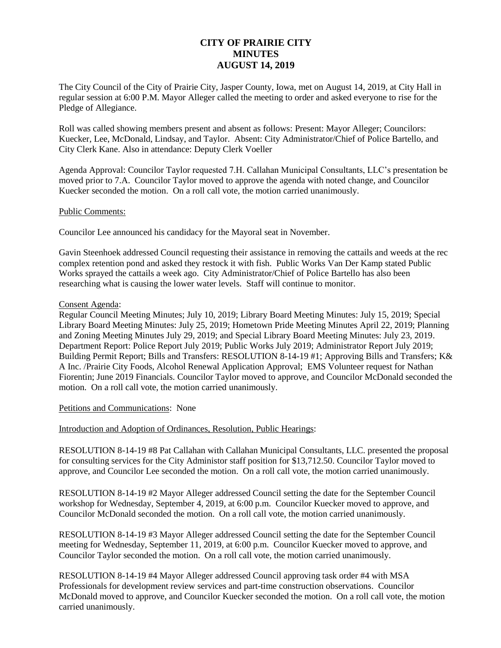# **CITY OF PRAIRIE CITY MINUTES AUGUST 14, 2019**

The City Council of the City of Prairie City, Jasper County, Iowa, met on August 14, 2019, at City Hall in regular session at 6:00 P.M. Mayor Alleger called the meeting to order and asked everyone to rise for the Pledge of Allegiance.

Roll was called showing members present and absent as follows: Present: Mayor Alleger; Councilors: Kuecker, Lee, McDonald, Lindsay, and Taylor. Absent: City Administrator/Chief of Police Bartello, and City Clerk Kane. Also in attendance: Deputy Clerk Voeller

Agenda Approval: Councilor Taylor requested 7.H. Callahan Municipal Consultants, LLC's presentation be moved prior to 7.A. Councilor Taylor moved to approve the agenda with noted change, and Councilor Kuecker seconded the motion. On a roll call vote, the motion carried unanimously.

# Public Comments:

Councilor Lee announced his candidacy for the Mayoral seat in November.

Gavin Steenhoek addressed Council requesting their assistance in removing the cattails and weeds at the rec complex retention pond and asked they restock it with fish. Public Works Van Der Kamp stated Public Works sprayed the cattails a week ago. City Administrator/Chief of Police Bartello has also been researching what is causing the lower water levels. Staff will continue to monitor.

# Consent Agenda:

Regular Council Meeting Minutes; July 10, 2019; Library Board Meeting Minutes: July 15, 2019; Special Library Board Meeting Minutes: July 25, 2019; Hometown Pride Meeting Minutes April 22, 2019; Planning and Zoning Meeting Minutes July 29, 2019; and Special Library Board Meeting Minutes: July 23, 2019. Department Report: Police Report July 2019; Public Works July 2019; Administrator Report July 2019; Building Permit Report; Bills and Transfers: RESOLUTION 8-14-19 #1; Approving Bills and Transfers; K& A Inc. /Prairie City Foods, Alcohol Renewal Application Approval; EMS Volunteer request for Nathan Fiorentin; June 2019 Financials. Councilor Taylor moved to approve, and Councilor McDonald seconded the motion. On a roll call vote, the motion carried unanimously.

#### Petitions and Communications: None

Introduction and Adoption of Ordinances, Resolution, Public Hearings:

RESOLUTION 8-14-19 #8 Pat Callahan with Callahan Municipal Consultants, LLC. presented the proposal for consulting services for the City Administor staff position for \$13,712.50. Councilor Taylor moved to approve, and Councilor Lee seconded the motion. On a roll call vote, the motion carried unanimously.

RESOLUTION 8-14-19 #2 Mayor Alleger addressed Council setting the date for the September Council workshop for Wednesday, September 4, 2019, at 6:00 p.m. Councilor Kuecker moved to approve, and Councilor McDonald seconded the motion. On a roll call vote, the motion carried unanimously.

RESOLUTION 8-14-19 #3 Mayor Alleger addressed Council setting the date for the September Council meeting for Wednesday, September 11, 2019, at 6:00 p.m. Councilor Kuecker moved to approve, and Councilor Taylor seconded the motion. On a roll call vote, the motion carried unanimously.

RESOLUTION 8-14-19 #4 Mayor Alleger addressed Council approving task order #4 with MSA Professionals for development review services and part-time construction observations. Councilor McDonald moved to approve, and Councilor Kuecker seconded the motion. On a roll call vote, the motion carried unanimously.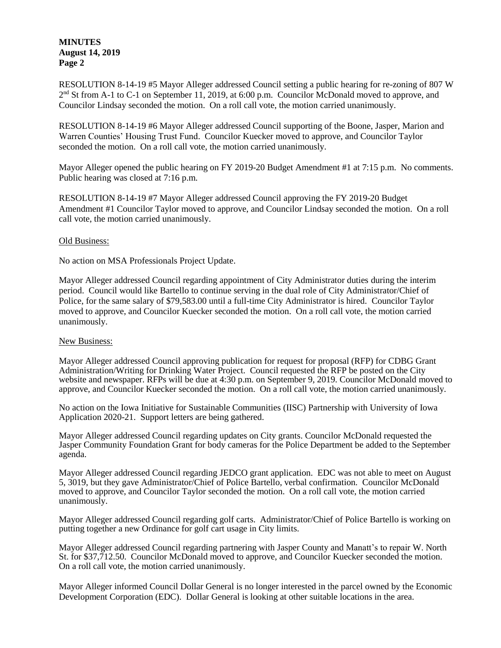# **MINUTES August 14, 2019 Page 2**

RESOLUTION 8-14-19 #5 Mayor Alleger addressed Council setting a public hearing for re-zoning of 807 W 2<sup>nd</sup> St from A-1 to C-1 on September 11, 2019, at 6:00 p.m. Councilor McDonald moved to approve, and Councilor Lindsay seconded the motion. On a roll call vote, the motion carried unanimously.

RESOLUTION 8-14-19 #6 Mayor Alleger addressed Council supporting of the Boone, Jasper, Marion and Warren Counties' Housing Trust Fund. Councilor Kuecker moved to approve, and Councilor Taylor seconded the motion. On a roll call vote, the motion carried unanimously.

Mayor Alleger opened the public hearing on FY 2019-20 Budget Amendment #1 at 7:15 p.m. No comments. Public hearing was closed at 7:16 p.m.

RESOLUTION 8-14-19 #7 Mayor Alleger addressed Council approving the FY 2019-20 Budget Amendment #1 Councilor Taylor moved to approve, and Councilor Lindsay seconded the motion. On a roll call vote, the motion carried unanimously.

# Old Business:

No action on MSA Professionals Project Update.

Mayor Alleger addressed Council regarding appointment of City Administrator duties during the interim period. Council would like Bartello to continue serving in the dual role of City Administrator/Chief of Police, for the same salary of \$79,583.00 until a full-time City Administrator is hired. Councilor Taylor moved to approve, and Councilor Kuecker seconded the motion. On a roll call vote, the motion carried unanimously.

#### New Business:

Mayor Alleger addressed Council approving publication for request for proposal (RFP) for CDBG Grant Administration/Writing for Drinking Water Project. Council requested the RFP be posted on the City website and newspaper. RFPs will be due at 4:30 p.m. on September 9, 2019. Councilor McDonald moved to approve, and Councilor Kuecker seconded the motion. On a roll call vote, the motion carried unanimously.

No action on the Iowa Initiative for Sustainable Communities (IISC) Partnership with University of Iowa Application 2020-21. Support letters are being gathered.

Mayor Alleger addressed Council regarding updates on City grants. Councilor McDonald requested the Jasper Community Foundation Grant for body cameras for the Police Department be added to the September agenda.

Mayor Alleger addressed Council regarding JEDCO grant application. EDC was not able to meet on August 5, 3019, but they gave Administrator/Chief of Police Bartello, verbal confirmation. Councilor McDonald moved to approve, and Councilor Taylor seconded the motion. On a roll call vote, the motion carried unanimously.

Mayor Alleger addressed Council regarding golf carts. Administrator/Chief of Police Bartello is working on putting together a new Ordinance for golf cart usage in City limits.

Mayor Alleger addressed Council regarding partnering with Jasper County and Manatt's to repair W. North St. for \$37,712.50. Councilor McDonald moved to approve, and Councilor Kuecker seconded the motion. On a roll call vote, the motion carried unanimously.

Mayor Alleger informed Council Dollar General is no longer interested in the parcel owned by the Economic Development Corporation (EDC). Dollar General is looking at other suitable locations in the area.